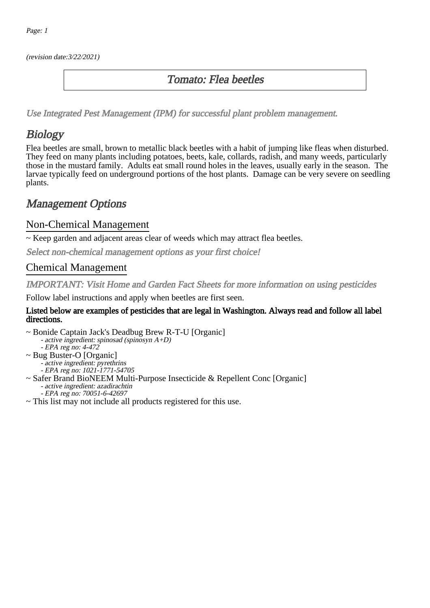(revision date:3/22/2021)

### Tomato: Flea beetles

[Use Integrated Pest Management \(IPM\) for successful plant problem management.](http://pep.wsu.edu/Home_Garden/H_G_Pesticide_info/urban_Integrated_Pest_Managmen/)

# **Biology**

Flea beetles are small, brown to metallic black beetles with a habit of jumping like fleas when disturbed. They feed on many plants including potatoes, beets, kale, collards, radish, and many weeds, particularly those in the mustard family. Adults eat small round holes in the leaves, usually early in the season. The larvae typically feed on underground portions of the host plants. Damage can be very severe on seedling plants.

## Management Options

#### Non-Chemical Management

~ Keep garden and adjacent areas clear of weeds which may attract flea beetles.

Select non-chemical management options as your first choice!

#### Chemical Management

IMPORTANT: [Visit Home and Garden Fact Sheets for more information on using pesticides](http://pep.wsu.edu/Home_Garden/H_G_Pesticide_info/)

Follow label instructions and apply when beetles are first seen.

#### Listed below are examples of pesticides that are legal in Washington. Always read and follow all label directions.

~ Bonide Captain Jack's Deadbug Brew R-T-U [Organic] - active ingredient: spinosad (spinosyn A+D)

- EPA reg no: 4-472

- ~ Bug Buster-O [Organic]
	- active ingredient: pyrethrins
	- - EPA reg no: 1021-1771-54705
- ~ Safer Brand BioNEEM Multi-Purpose Insecticide & Repellent Conc [Organic] - active ingredient: azadirachtin - EPA reg no: 70051-6-42697
- ~ This list may not include all products registered for this use.